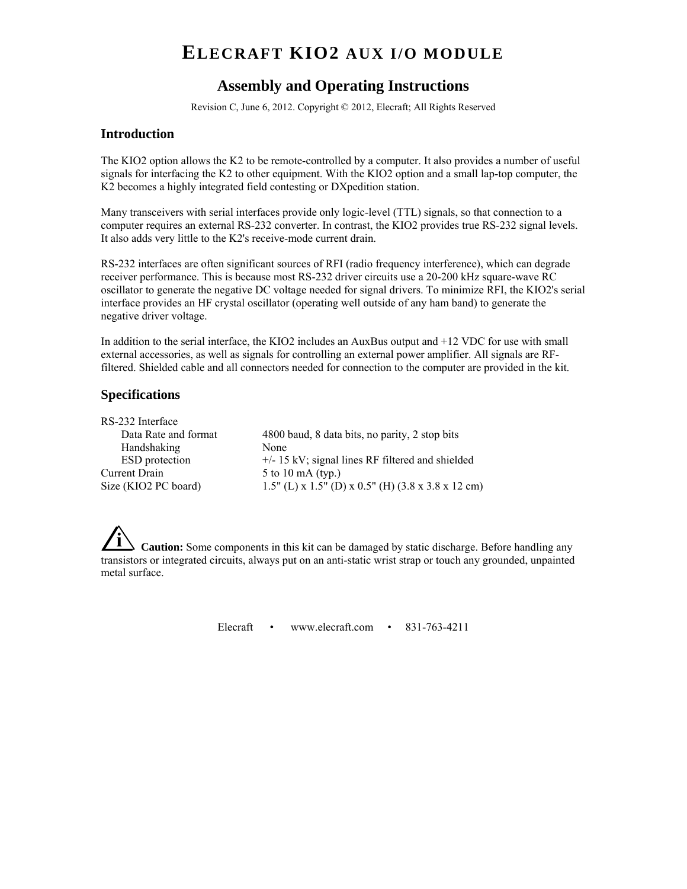# **ELECRAFT KIO2 AUX I/O MODULE**

## **Assembly and Operating Instructions**

Revision C, June 6, 2012. Copyright © 2012, Elecraft; All Rights Reserved

#### **Introduction**

The KIO2 option allows the K2 to be remote-controlled by a computer. It also provides a number of useful signals for interfacing the K2 to other equipment. With the KIO2 option and a small lap-top computer, the K2 becomes a highly integrated field contesting or DXpedition station.

Many transceivers with serial interfaces provide only logic-level (TTL) signals, so that connection to a computer requires an external RS-232 converter. In contrast, the KIO2 provides true RS-232 signal levels. It also adds very little to the K2's receive-mode current drain.

RS-232 interfaces are often significant sources of RFI (radio frequency interference), which can degrade receiver performance. This is because most RS-232 driver circuits use a 20-200 kHz square-wave RC oscillator to generate the negative DC voltage needed for signal drivers. To minimize RFI, the KIO2's serial interface provides an HF crystal oscillator (operating well outside of any ham band) to generate the negative driver voltage.

In addition to the serial interface, the KIO2 includes an AuxBus output and +12 VDC for use with small external accessories, as well as signals for controlling an external power amplifier. All signals are RFfiltered. Shielded cable and all connectors needed for connection to the computer are provided in the kit.

#### **Specifications**

| $+/-$ 15 kV; signal lines RF filtered and shielded                     |
|------------------------------------------------------------------------|
|                                                                        |
| 1.5" (L) x 1.5" (D) x 0.5" (H) $(3.8 \times 3.8 \times 12 \text{ cm})$ |
|                                                                        |

**Caution:** Some components in this kit can be damaged by static discharge. Before handling any transistors or integrated circuits, always put on an anti-static wrist strap or touch any grounded, unpainted metal surface.

Elecraft • www.elecraft.com • 831-763-4211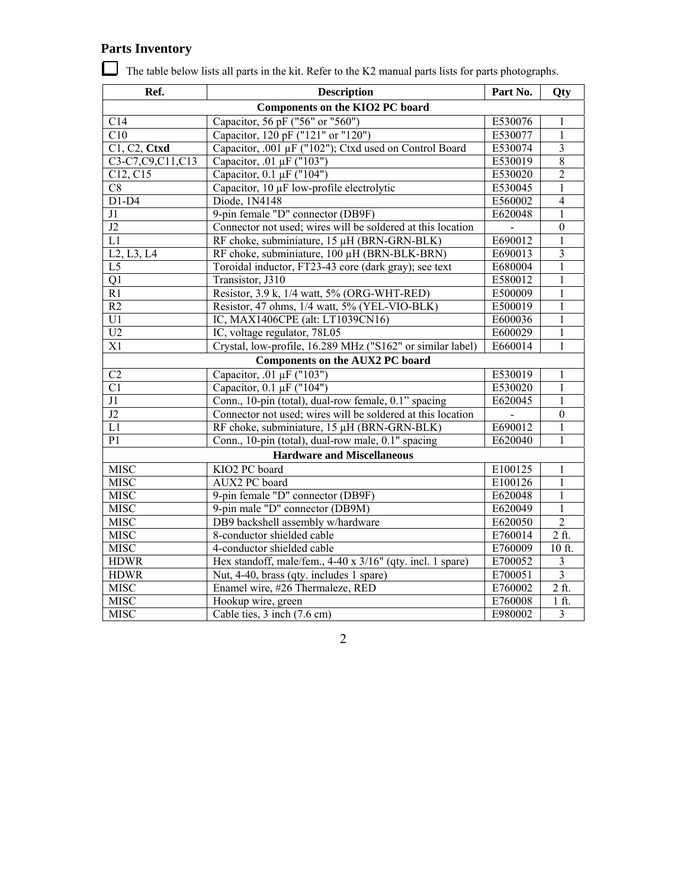# **Parts Inventory**

| Ref.             | <b>Description</b>                                          | Part No. | Qty                     |
|------------------|-------------------------------------------------------------|----------|-------------------------|
|                  |                                                             |          |                         |
| C14              | Capacitor, 56 pF ("56" or "560")                            | E530076  | 1                       |
| C10              | Capacitor, 120 pF ("121" or "120")                          | E530077  | $\mathbf{1}$            |
| C1, C2, Ctxd     | Capacitor, .001 µF ("102"); Ctxd used on Control Board      | E530074  | $\overline{3}$          |
| C3-C7,C9,C11,C13 | Capacitor, .01 µF ("103")                                   | E530019  | $\,8\,$                 |
| C12, C15         | Capacitor, 0.1 µF ("104")                                   | E530020  | $\overline{2}$          |
| C8               | Capacitor, 10 µF low-profile electrolytic                   | E530045  | $\mathbf{1}$            |
| $D1-D4$          | Diode, 1N4148                                               | E560002  | $\overline{4}$          |
| J1               | 9-pin female "D" connector (DB9F)                           | E620048  | $\mathbf{1}$            |
| $\overline{J2}$  | Connector not used; wires will be soldered at this location |          | $\mathbf{0}$            |
| L1               | RF choke, subminiature, 15 µH (BRN-GRN-BLK)                 | E690012  | 1                       |
| L2, L3, L4       | RF choke, subminiature, 100 µH (BRN-BLK-BRN)                | E690013  | $\overline{\mathbf{3}}$ |
| L <sub>5</sub>   | Toroidal inductor, FT23-43 core (dark gray); see text       | E680004  | $\mathbf{1}$            |
| Q1               | Transistor, J310                                            | E580012  | $\mathbf{1}$            |
| R1               | Resistor, 3.9 k, 1/4 watt, 5% (ORG-WHT-RED)                 | E500009  | $\mathbf{1}$            |
| R2               | Resistor, 47 ohms, 1/4 watt, 5% (YEL-VIO-BLK)               | E500019  | $\mathbf{1}$            |
| U1               | IC, MAX1406CPE (alt: LT1039CN16)                            | E600036  | 1                       |
| U2               | IC, voltage regulator, 78L05                                | E600029  | $\mathbf{1}$            |
| X1               | Crystal, low-profile, 16.289 MHz ("S162" or similar label)  | E660014  | $\mathbf{1}$            |
|                  | Components on the AUX2 PC board                             |          |                         |
| C2               | Capacitor, .01 μF ("103")                                   | E530019  | $\mathbf{1}$            |
| $\overline{C}$   | Capacitor, 0.1 µF ("104")                                   | E530020  | $\mathbf{1}$            |
| J1               | Conn., 10-pin (total), dual-row female, 0.1" spacing        | E620045  | $\mathbf{1}$            |
| J2               | Connector not used; wires will be soldered at this location |          | $\boldsymbol{0}$        |
| L1               | RF choke, subminiature, 15 µH (BRN-GRN-BLK)                 | E690012  | $\mathbf{1}$            |
| P <sub>1</sub>   | Conn., 10-pin (total), dual-row male, 0.1" spacing          | E620040  | $\mathbf{1}$            |
|                  | <b>Hardware and Miscellaneous</b>                           |          |                         |
| <b>MISC</b>      | KIO2 PC board                                               | E100125  | $\mathbf{1}$            |
| <b>MISC</b>      | AUX2 PC board                                               | E100126  | $\mathbf{1}$            |
| <b>MISC</b>      | 9-pin female "D" connector (DB9F)                           | E620048  | $\mathbf{1}$            |
| <b>MISC</b>      | 9-pin male "D" connector (DB9M)                             | E620049  | 1                       |
| <b>MISC</b>      | DB9 backshell assembly w/hardware                           | E620050  | $\overline{2}$          |
| <b>MISC</b>      | 8-conductor shielded cable                                  | E760014  | $2$ ft.                 |
| <b>MISC</b>      | 4-conductor shielded cable                                  | E760009  | 10 ft.                  |
| <b>HDWR</b>      | Hex standoff, male/fem., 4-40 x 3/16" (qty. incl. 1 spare)  | E700052  | $\mathfrak{Z}$          |
| <b>HDWR</b>      | Nut, 4-40, brass (qty. includes 1 spare)                    | E700051  | $\overline{\mathbf{3}}$ |
| <b>MISC</b>      | Enamel wire, #26 Thermaleze, RED                            | E760002  | $2$ ft.                 |
| <b>MISC</b>      | Hookup wire, green                                          | E760008  | $1$ ft.                 |
| <b>MISC</b>      | Cable ties, 3 inch (7.6 cm)                                 | E980002  | $\overline{3}$          |

The table below lists all parts in the kit. Refer to the K2 manual parts lists for parts photographs.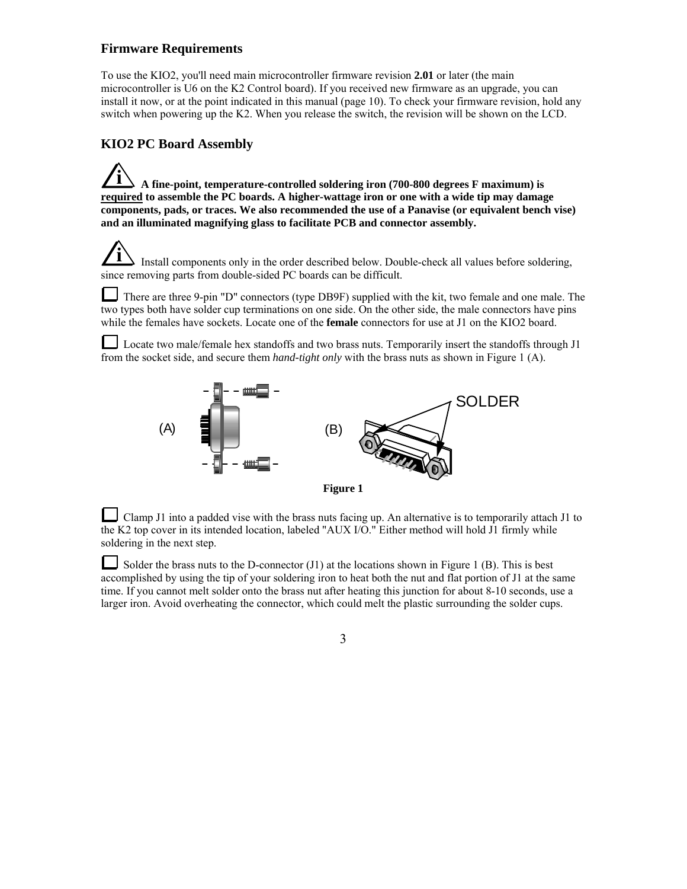#### **Firmware Requirements**

To use the KIO2, you'll need main microcontroller firmware revision **2.01** or later (the main microcontroller is U6 on the K2 Control board). If you received new firmware as an upgrade, you can install it now, or at the point indicated in this manual (page 10). To check your firmware revision, hold any switch when powering up the K2. When you release the switch, the revision will be shown on the LCD.

#### **KIO2 PC Board Assembly**

**i A fine-point, temperature-controlled soldering iron (700-800 degrees F maximum) is required to assemble the PC boards. A higher-wattage iron or one with a wide tip may damage components, pads, or traces. We also recommended the use of a Panavise (or equivalent bench vise) and an illuminated magnifying glass to facilitate PCB and connector assembly.**

**i** Install components only in the order described below. Double-check all values before soldering, since removing parts from double-sided PC boards can be difficult.

There are three 9-pin "D" connectors (type DB9F) supplied with the kit, two female and one male. The two types both have solder cup terminations on one side. On the other side, the male connectors have pins while the females have sockets. Locate one of the **female** connectors for use at J1 on the KIO2 board.

Locate two male/female hex standoffs and two brass nuts. Temporarily insert the standoffs through J1 from the socket side, and secure them *hand-tight only* with the brass nuts as shown in Figure 1 (A).



Clamp J1 into a padded vise with the brass nuts facing up. An alternative is to temporarily attach J1 to the K2 top cover in its intended location, labeled "AUX I/O." Either method will hold J1 firmly while soldering in the next step.

Solder the brass nuts to the D-connector (J1) at the locations shown in Figure 1 (B). This is best accomplished by using the tip of your soldering iron to heat both the nut and flat portion of J1 at the same time. If you cannot melt solder onto the brass nut after heating this junction for about 8-10 seconds, use a larger iron. Avoid overheating the connector, which could melt the plastic surrounding the solder cups.

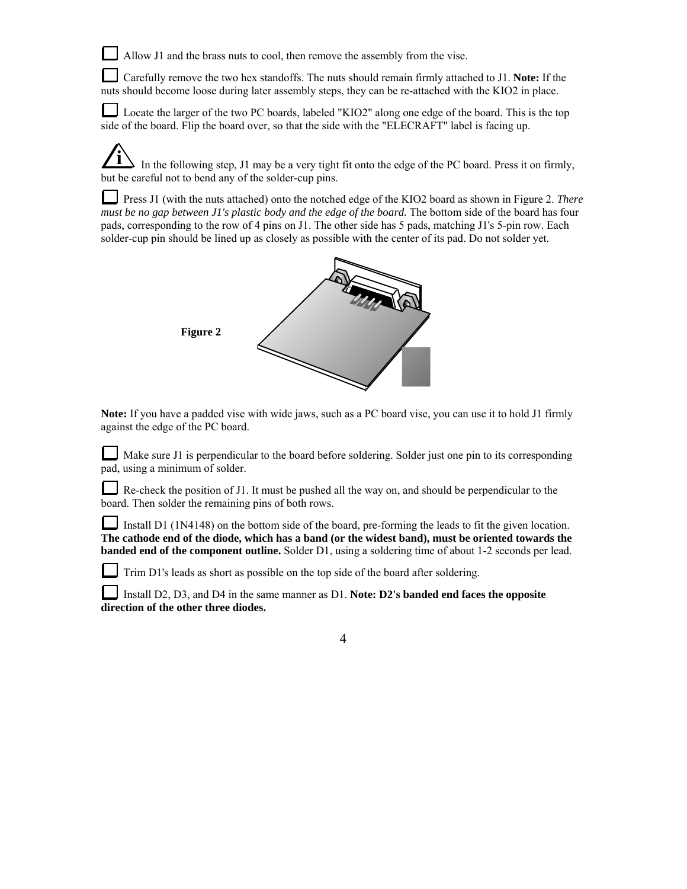Allow J1 and the brass nuts to cool, then remove the assembly from the vise.

Carefully remove the two hex standoffs. The nuts should remain firmly attached to J1. **Note:** If the nuts should become loose during later assembly steps, they can be re-attached with the KIO2 in place.

Locate the larger of the two PC boards, labeled "KIO2" along one edge of the board. This is the top side of the board. Flip the board over, so that the side with the "ELECRAFT" label is facing up.

**i** In the following step, J1 may be a very tight fit onto the edge of the PC board. Press it on firmly, but be careful not to bend any of the solder-cup pins.

Press J1 (with the nuts attached) onto the notched edge of the KIO2 board as shown in Figure 2. *There must be no gap between J1's plastic body and the edge of the board.* The bottom side of the board has four pads, corresponding to the row of 4 pins on J1. The other side has 5 pads, matching J1's 5-pin row. Each solder-cup pin should be lined up as closely as possible with the center of its pad. Do not solder yet.



**Note:** If you have a padded vise with wide jaws, such as a PC board vise, you can use it to hold J1 firmly against the edge of the PC board.

Make sure J1 is perpendicular to the board before soldering. Solder just one pin to its corresponding pad, using a minimum of solder.

Re-check the position of J1. It must be pushed all the way on, and should be perpendicular to the board. Then solder the remaining pins of both rows.

Install D1 (1N4148) on the bottom side of the board, pre-forming the leads to fit the given location. **The cathode end of the diode, which has a band (or the widest band), must be oriented towards the banded end of the component outline.** Solder D1, using a soldering time of about 1-2 seconds per lead.

Trim D1's leads as short as possible on the top side of the board after soldering.

Install D2, D3, and D4 in the same manner as D1. **Note: D2's banded end faces the opposite direction of the other three diodes.**

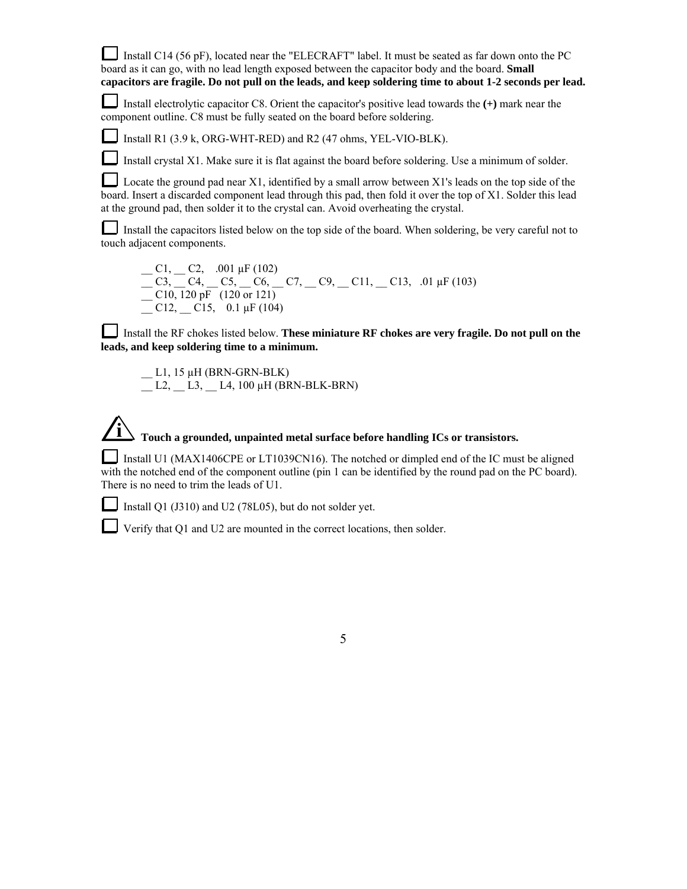Install C14 (56 pF), located near the "ELECRAFT" label. It must be seated as far down onto the PC board as it can go, with no lead length exposed between the capacitor body and the board. **Small capacitors are fragile. Do not pull on the leads, and keep soldering time to about 1-2 seconds per lead.**

Install electrolytic capacitor C8. Orient the capacitor's positive lead towards the **(+)** mark near the component outline. C8 must be fully seated on the board before soldering.

Install R1 (3.9 k, ORG-WHT-RED) and R2 (47 ohms, YEL-VIO-BLK).

Install crystal X1. Make sure it is flat against the board before soldering. Use a minimum of solder.

Locate the ground pad near X1, identified by a small arrow between X1's leads on the top side of the board. Insert a discarded component lead through this pad, then fold it over the top of X1. Solder this lead at the ground pad, then solder it to the crystal can. Avoid overheating the crystal.

Install the capacitors listed below on the top side of the board. When soldering, be very careful not to touch adjacent components.

 $C1, C2, .001 \,\mu\text{F} (102)$  $C_1C_2C_3$ ,  $C_4$ ,  $C_5$ ,  $C_6$ ,  $C_7$ ,  $C_9$ ,  $C_{11}$ ,  $C_{13}$ ,  $01 \mu F (103)$  $\frac{1}{2}$  C10, 120 pF (120 or 121)  $\overline{C}$  C12,  $\overline{C}$  C15, 0.1 µF (104)

Install the RF chokes listed below. **These miniature RF chokes are very fragile. Do not pull on the leads, and keep soldering time to a minimum.**

 $\_$  L1, 15  $\mu$ H (BRN-GRN-BLK) L2, L3, L4, 100  $\mu$ H (BRN-BLK-BRN)

#### **i Touch a grounded, unpainted metal surface before handling ICs or transistors.**

Install U1 (MAX1406CPE or LT1039CN16). The notched or dimpled end of the IC must be aligned with the notched end of the component outline (pin 1 can be identified by the round pad on the PC board). There is no need to trim the leads of U1.

Install Q1 (J310) and U2 (78L05), but do not solder yet.

Verify that Q1 and U2 are mounted in the correct locations, then solder.

5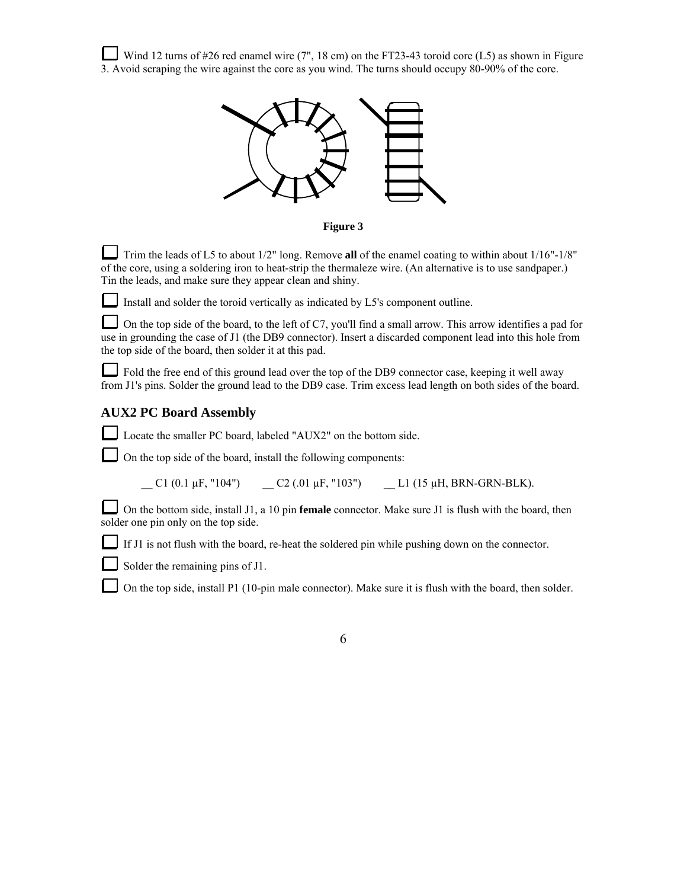Wind 12 turns of #26 red enamel wire (7", 18 cm) on the FT23-43 toroid core (L5) as shown in Figure 3. Avoid scraping the wire against the core as you wind. The turns should occupy 80-90% of the core.



**Figure 3** 

Trim the leads of L5 to about 1/2" long. Remove **all** of the enamel coating to within about 1/16"-1/8" of the core, using a soldering iron to heat-strip the thermaleze wire. (An alternative is to use sandpaper.) Tin the leads, and make sure they appear clean and shiny.

Install and solder the toroid vertically as indicated by L5's component outline.

On the top side of the board, to the left of C7, you'll find a small arrow. This arrow identifies a pad for use in grounding the case of J1 (the DB9 connector). Insert a discarded component lead into this hole from the top side of the board, then solder it at this pad.

Fold the free end of this ground lead over the top of the DB9 connector case, keeping it well away from J1's pins. Solder the ground lead to the DB9 case. Trim excess lead length on both sides of the board.

#### **AUX2 PC Board Assembly**

Locate the smaller PC board, labeled "AUX2" on the bottom side.

On the top side of the board, install the following components:

 $C1$  (0.1  $\mu$ F, "104")  $C2$  (.01  $\mu$ F, "103")  $L1$  (15  $\mu$ H, BRN-GRN-BLK).

On the bottom side, install J1, a 10 pin **female** connector. Make sure J1 is flush with the board, then solder one pin only on the top side.

If J1 is not flush with the board, re-heat the soldered pin while pushing down on the connector.

Solder the remaining pins of J1.

On the top side, install P1 (10-pin male connector). Make sure it is flush with the board, then solder.

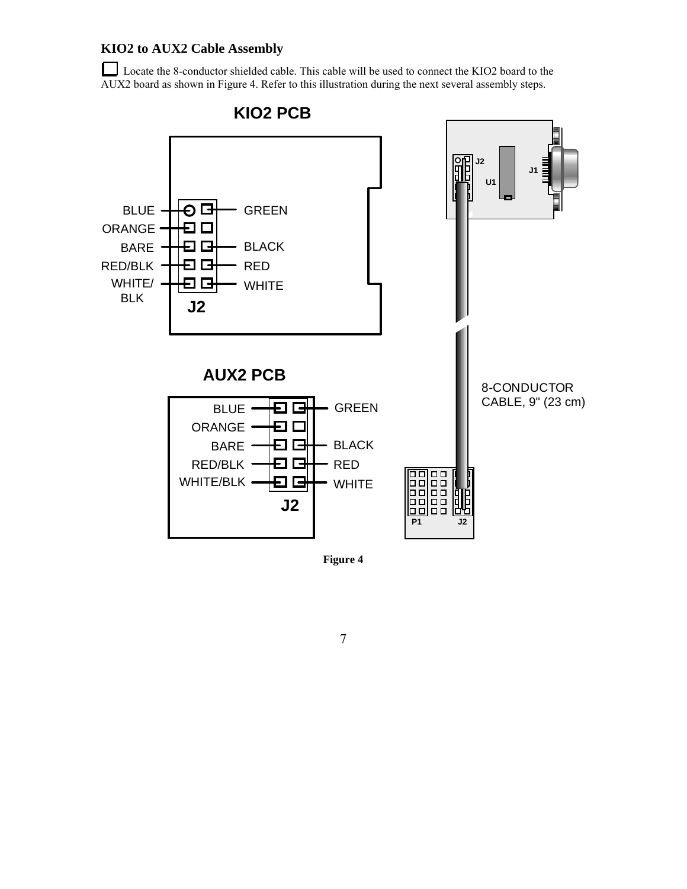## **KIO2 to AUX2 Cable Assembly**

Locate the 8-conductor shielded cable. This cable will be used to connect the KIO2 board to the AUX2 board as shown in Figure 4. Refer to this illustration during the next several assembly steps.



**Figure 4**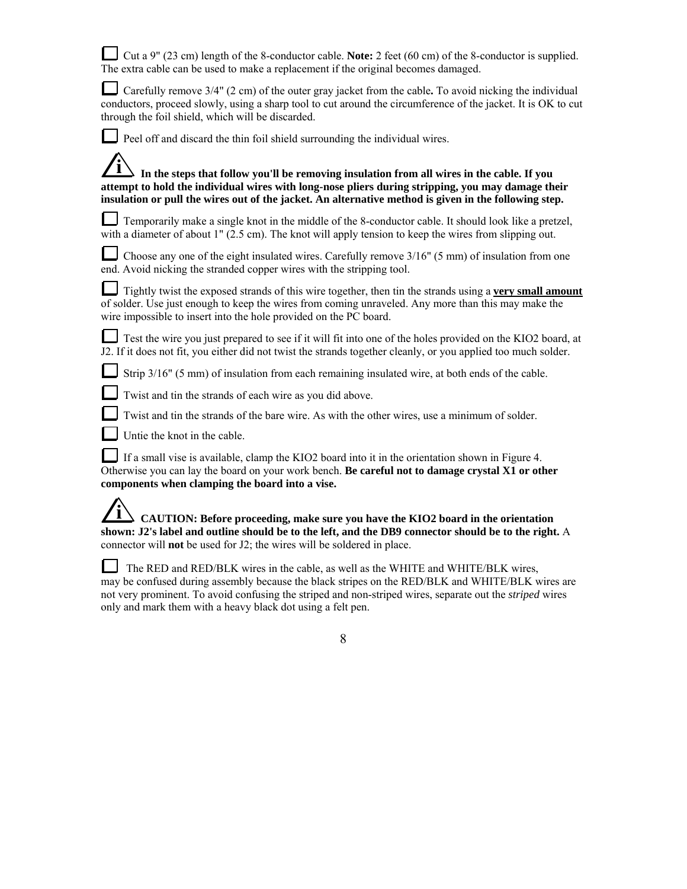| Let $g''$ (23 cm) length of the 8-conductor cable. Note: 2 feet (60 cm) of the 8-conductor is supplied.<br>The extra cable can be used to make a replacement if the original becomes damaged.                                                                                                            |
|----------------------------------------------------------------------------------------------------------------------------------------------------------------------------------------------------------------------------------------------------------------------------------------------------------|
| Carefully remove 3/4" (2 cm) of the outer gray jacket from the cable. To avoid nicking the individual<br>conductors, proceed slowly, using a sharp tool to cut around the circumference of the jacket. It is OK to cut<br>through the foil shield, which will be discarded.                              |
| Peel off and discard the thin foil shield surrounding the individual wires.                                                                                                                                                                                                                              |
| In the steps that follow you'll be removing insulation from all wires in the cable. If you<br>attempt to hold the individual wires with long-nose pliers during stripping, you may damage their<br>insulation or pull the wires out of the jacket. An alternative method is given in the following step. |
| Temporarily make a single knot in the middle of the 8-conductor cable. It should look like a pretzel,<br>with a diameter of about 1" (2.5 cm). The knot will apply tension to keep the wires from slipping out.                                                                                          |
| Choose any one of the eight insulated wires. Carefully remove $3/16$ <sup>"</sup> (5 mm) of insulation from one<br>end. Avoid nicking the stranded copper wires with the stripping tool.                                                                                                                 |
| Tightly twist the exposed strands of this wire together, then tin the strands using a very small amount<br>of solder. Use just enough to keep the wires from coming unraveled. Any more than this may make the<br>wire impossible to insert into the hole provided on the PC board.                      |
| ■ Test the wire you just prepared to see if it will fit into one of the holes provided on the KIO2 board, at<br>J2. If it does not fit, you either did not twist the strands together cleanly, or you applied too much solder.                                                                           |
| Strip 3/16" (5 mm) of insulation from each remaining insulated wire, at both ends of the cable.                                                                                                                                                                                                          |
| Twist and tin the strands of each wire as you did above.                                                                                                                                                                                                                                                 |
| Twist and tin the strands of the bare wire. As with the other wires, use a minimum of solder.                                                                                                                                                                                                            |
| Untie the knot in the cable.                                                                                                                                                                                                                                                                             |
| If a small vise is available, clamp the KIO2 board into it in the orientation shown in Figure 4.<br>Otherwise you can lay the board on your work bench. Be careful not to damage crystal X1 or other<br>components when clamping the board into a vise.                                                  |
| CAUTION: Before proceeding, make sure you have the KIO2 board in the orientation<br>shown: J2's label and outline should be to the left, and the DB9 connector should be to the right. A<br>connector will <b>not</b> be used for J2; the wires will be soldered in place.                               |

 The RED and RED/BLK wires in the cable, as well as the WHITE and WHITE/BLK wires, may be confused during assembly because the black stripes on the RED/BLK and WHITE/BLK wires are not very prominent. To avoid confusing the striped and non-striped wires, separate out the *striped* wires only and mark them with a heavy black dot using a felt pen.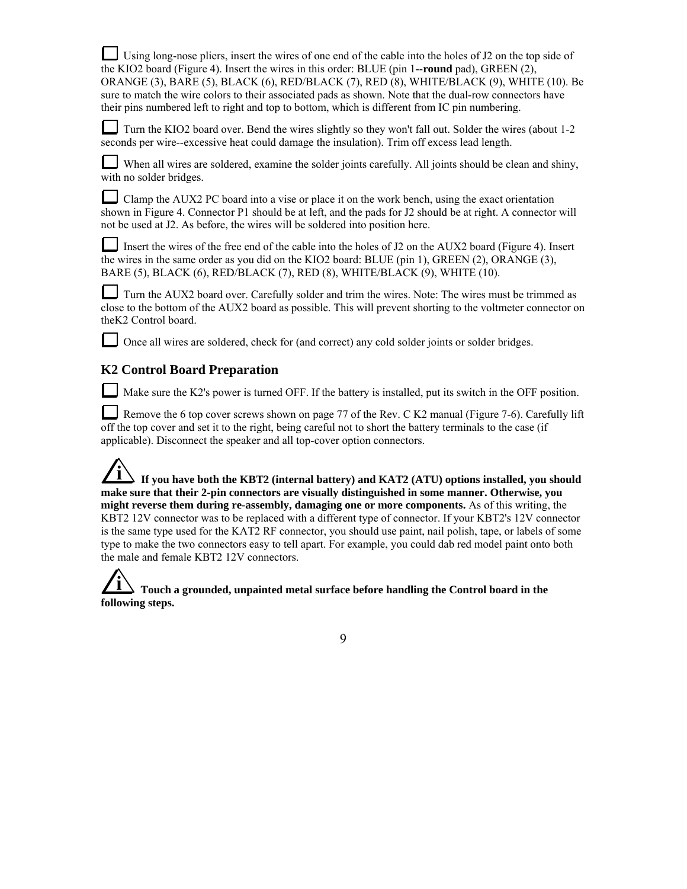Using long-nose pliers, insert the wires of one end of the cable into the holes of J2 on the top side of the KIO2 board (Figure 4). Insert the wires in this order: BLUE (pin 1--**round** pad), GREEN (2), ORANGE (3), BARE (5), BLACK (6), RED/BLACK (7), RED (8), WHITE/BLACK (9), WHITE (10). Be sure to match the wire colors to their associated pads as shown. Note that the dual-row connectors have their pins numbered left to right and top to bottom, which is different from IC pin numbering.

Turn the KIO2 board over. Bend the wires slightly so they won't fall out. Solder the wires (about 1-2 seconds per wire--excessive heat could damage the insulation). Trim off excess lead length.

When all wires are soldered, examine the solder joints carefully. All joints should be clean and shiny, with no solder bridges.

Clamp the AUX2 PC board into a vise or place it on the work bench, using the exact orientation shown in Figure 4. Connector P1 should be at left, and the pads for J2 should be at right. A connector will not be used at J2. As before, the wires will be soldered into position here.

Insert the wires of the free end of the cable into the holes of J2 on the AUX2 board (Figure 4). Insert the wires in the same order as you did on the KIO2 board: BLUE (pin 1), GREEN (2), ORANGE (3), BARE (5), BLACK (6), RED/BLACK (7), RED (8), WHITE/BLACK (9), WHITE (10).

Turn the AUX2 board over. Carefully solder and trim the wires. Note: The wires must be trimmed as close to the bottom of the AUX2 board as possible. This will prevent shorting to the voltmeter connector on theK2 Control board.

Once all wires are soldered, check for (and correct) any cold solder joints or solder bridges.

## **K2 Control Board Preparation**

Make sure the K2's power is turned OFF. If the battery is installed, put its switch in the OFF position.

Remove the 6 top cover screws shown on page 77 of the Rev. C K2 manual (Figure 7-6). Carefully lift off the top cover and set it to the right, being careful not to short the battery terminals to the case (if applicable). Disconnect the speaker and all top-cover option connectors.

If you have both the KBT2 (internal battery) and KAT2 (ATU) options installed, you should **make sure that their 2-pin connectors are visually distinguished in some manner. Otherwise, you might reverse them during re-assembly, damaging one or more components.** As of this writing, the KBT2 12V connector was to be replaced with a different type of connector. If your KBT2's 12V connector is the same type used for the KAT2 RF connector, you should use paint, nail polish, tape, or labels of some type to make the two connectors easy to tell apart. For example, you could dab red model paint onto both the male and female KBT2 12V connectors.

**i Touch a grounded, unpainted metal surface before handling the Control board in the following steps.**

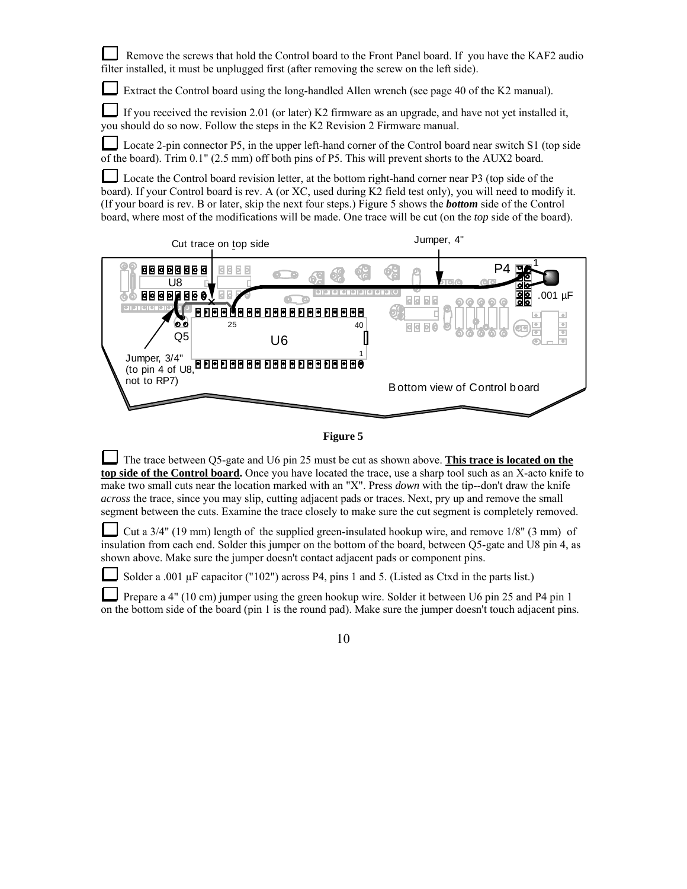Remove the screws that hold the Control board to the Front Panel board. If you have the KAF2 audio filter installed, it must be unplugged first (after removing the screw on the left side). Extract the Control board using the long-handled Allen wrench (see page 40 of the K2 manual). If you received the revision 2.01 (or later) K2 firmware as an upgrade, and have not yet installed it, you should do so now. Follow the steps in the K2 Revision 2 Firmware manual. Locate 2-pin connector P5, in the upper left-hand corner of the Control board near switch S1 (top side of the board). Trim 0.1" (2.5 mm) off both pins of P5. This will prevent shorts to the AUX2 board. Locate the Control board revision letter, at the bottom right-hand corner near P3 (top side of the board). If your Control board is rev. A (or XC, used during K2 field test only), you will need to modify it. (If your board is rev. B or later, skip the next four steps.) Figure 5 shows the *bottom* side of the Control board, where most of the modifications will be made. One trace will be cut (on the *top* side of the board). Cut trace on top side state of the Jumper, 4" 1 8888888  $E E$ P4 U8  $uF$ 88 8 3 d ಠಠ 25 40 **GBB0** I Q5 U6 Jumper, 3/4" **Lang ang ang ang ang managpakeun** (to pin 4 of U8, not to RP7) Bottom view of Control b oard



The trace between Q5-gate and U6 pin 25 must be cut as shown above. **This trace is located on the top side of the Control board.** Once you have located the trace, use a sharp tool such as an X-acto knife to make two small cuts near the location marked with an "X". Press *down* with the tip--don't draw the knife *across* the trace, since you may slip, cutting adjacent pads or traces. Next, pry up and remove the small segment between the cuts. Examine the trace closely to make sure the cut segment is completely removed.

Cut a 3/4" (19 mm) length of the supplied green-insulated hookup wire, and remove 1/8" (3 mm) of insulation from each end. Solder this jumper on the bottom of the board, between Q5-gate and U8 pin 4, as shown above. Make sure the jumper doesn't contact adjacent pads or component pins.

Solder a .001 µF capacitor ("102") across P4, pins 1 and 5. (Listed as Ctxd in the parts list.)

Prepare a 4" (10 cm) jumper using the green hookup wire. Solder it between U6 pin 25 and P4 pin 1 on the bottom side of the board (pin 1 is the round pad). Make sure the jumper doesn't touch adjacent pins.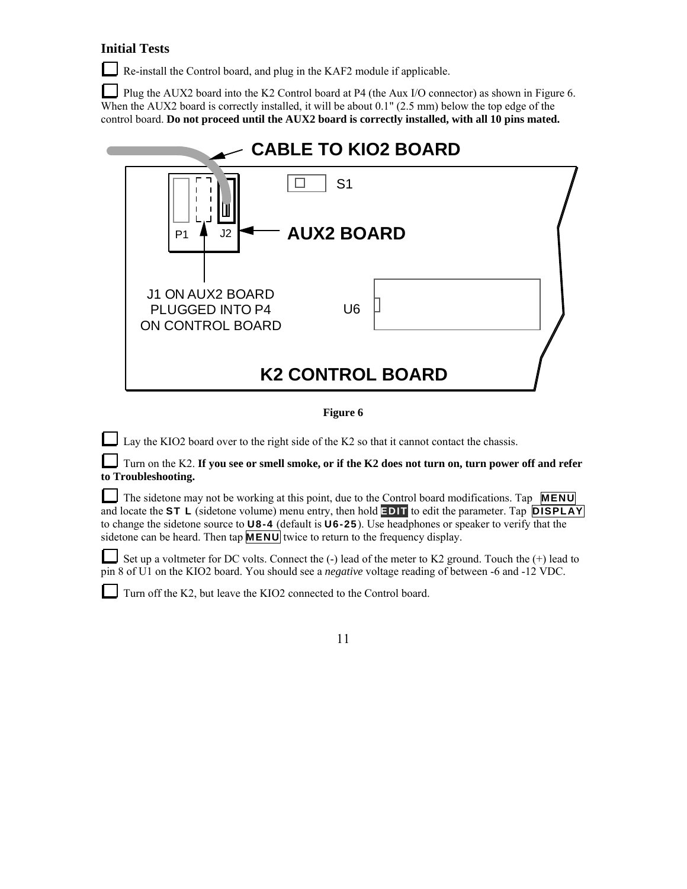## **Initial Tests**

Re-install the Control board, and plug in the KAF2 module if applicable.

Plug the AUX2 board into the K2 Control board at P4 (the Aux I/O connector) as shown in Figure 6. When the AUX2 board is correctly installed, it will be about 0.1" (2.5 mm) below the top edge of the control board. **Do not proceed until the AUX2 board is correctly installed, with all 10 pins mated.**



**Figure 6**

Lay the KIO2 board over to the right side of the K2 so that it cannot contact the chassis.

Turn on the K2. **If you see or smell smoke, or if the K2 does not turn on, turn power off and refer to Troubleshooting.** 

The sidetone may not be working at this point, due to the Control board modifications. Tap **MENU** and locate the **ST L** (sidetone volume) menu entry, then hold **EDIT** to edit the parameter. Tap **DISPLAY** to change the sidetone source to **U8-4** (default is **U6-25**). Use headphones or speaker to verify that the sidetone can be heard. Then tap  $\overline{MENU}$  twice to return to the frequency display.

Set up a voltmeter for DC volts. Connect the  $(-)$  lead of the meter to K2 ground. Touch the  $(+)$  lead to pin 8 of U1 on the KIO2 board. You should see a *negative* voltage reading of between -6 and -12 VDC.

Turn off the K2, but leave the KIO2 connected to the Control board.

|  |  | 11 |
|--|--|----|
|  |  |    |
|  |  |    |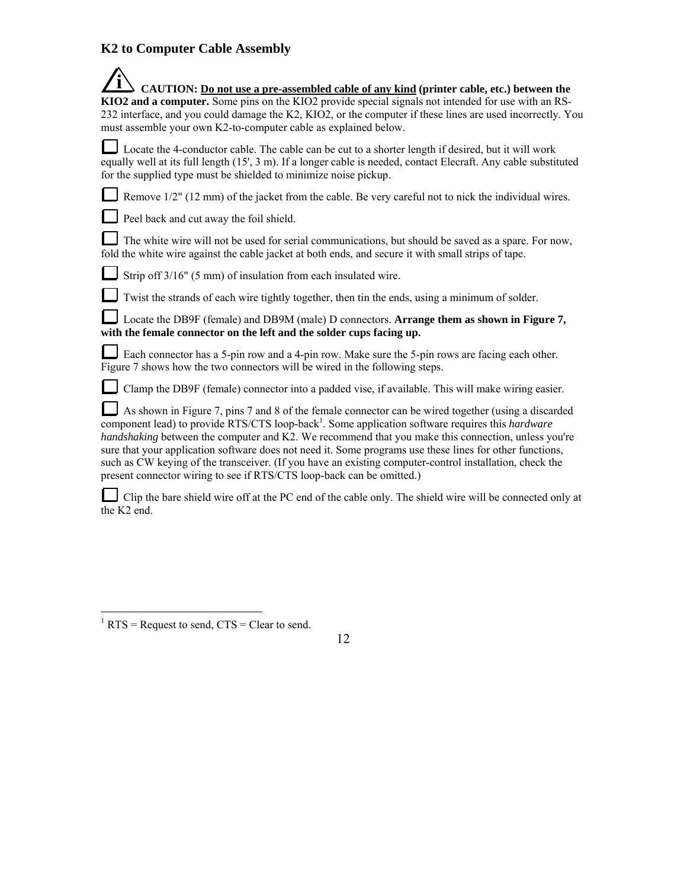## **K2 to Computer Cable Assembly**

| CAUTION: Do not use a pre-assembled cable of any kind (printer cable, etc.) between the                                                                                                                                                                                                                                                                                                                                                                                                                                                                                                                                          |
|----------------------------------------------------------------------------------------------------------------------------------------------------------------------------------------------------------------------------------------------------------------------------------------------------------------------------------------------------------------------------------------------------------------------------------------------------------------------------------------------------------------------------------------------------------------------------------------------------------------------------------|
| KIO2 and a computer. Some pins on the KIO2 provide special signals not intended for use with an RS-<br>232 interface, and you could damage the K2, KIO2, or the computer if these lines are used incorrectly. You<br>must assemble your own K2-to-computer cable as explained below.                                                                                                                                                                                                                                                                                                                                             |
| Locate the 4-conductor cable. The cable can be cut to a shorter length if desired, but it will work<br>equally well at its full length (15', 3 m). If a longer cable is needed, contact Elecraft. Any cable substituted<br>for the supplied type must be shielded to minimize noise pickup.                                                                                                                                                                                                                                                                                                                                      |
| Remove 1/2" (12 mm) of the jacket from the cable. Be very careful not to nick the individual wires.                                                                                                                                                                                                                                                                                                                                                                                                                                                                                                                              |
| Peel back and cut away the foil shield.                                                                                                                                                                                                                                                                                                                                                                                                                                                                                                                                                                                          |
| The white wire will not be used for serial communications, but should be saved as a spare. For now,<br>fold the white wire against the cable jacket at both ends, and secure it with small strips of tape.                                                                                                                                                                                                                                                                                                                                                                                                                       |
| Strip off 3/16" (5 mm) of insulation from each insulated wire.                                                                                                                                                                                                                                                                                                                                                                                                                                                                                                                                                                   |
| Twist the strands of each wire tightly together, then tin the ends, using a minimum of solder.                                                                                                                                                                                                                                                                                                                                                                                                                                                                                                                                   |
| Locate the DB9F (female) and DB9M (male) D connectors. Arrange them as shown in Figure 7,<br>with the female connector on the left and the solder cups facing up.                                                                                                                                                                                                                                                                                                                                                                                                                                                                |
| Each connector has a 5-pin row and a 4-pin row. Make sure the 5-pin rows are facing each other.<br>Figure 7 shows how the two connectors will be wired in the following steps.                                                                                                                                                                                                                                                                                                                                                                                                                                                   |
| Clamp the DB9F (female) connector into a padded vise, if available. This will make wiring easier.                                                                                                                                                                                                                                                                                                                                                                                                                                                                                                                                |
| As shown in Figure 7, pins 7 and 8 of the female connector can be wired together (using a discarded<br>component lead) to provide RTS/CTS loop-back <sup>1</sup> . Some application software requires this <i>hardware</i><br>handshaking between the computer and K2. We recommend that you make this connection, unless you're<br>sure that your application software does not need it. Some programs use these lines for other functions,<br>such as CW keying of the transceiver. (If you have an existing computer-control installation, check the<br>present connector wiring to see if RTS/CTS loop-back can be omitted.) |

Clip the bare shield wire off at the PC end of the cable only. The shield wire will be connected only at the K2 end.

 $\frac{1}{1}$  RTS = Request to send, CTS = Clear to send.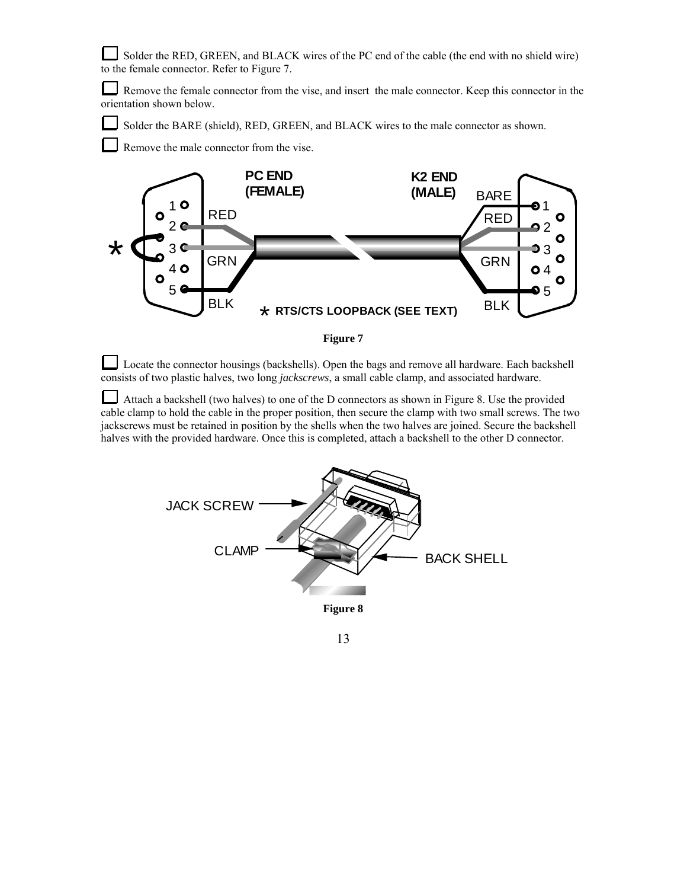Solder the RED, GREEN, and BLACK wires of the PC end of the cable (the end with no shield wire) to the female connector. Refer to Figure 7.

⊔ Remove the female connector from the vise, and insert the male connector. Keep this connector in the orientation shown below.

Solder the BARE (shield), RED, GREEN, and BLACK wires to the male connector as shown.

Remove the male connector from the vise.



**Figure 7**

Locate the connector housings (backshells). Open the bags and remove all hardware. Each backshell consists of two plastic halves, two long *jackscrews*, a small cable clamp, and associated hardware.

Attach a backshell (two halves) to one of the D connectors as shown in Figure 8. Use the provided cable clamp to hold the cable in the proper position, then secure the clamp with two small screws. The two jackscrews must be retained in position by the shells when the two halves are joined. Secure the backshell halves with the provided hardware. Once this is completed, attach a backshell to the other D connector.

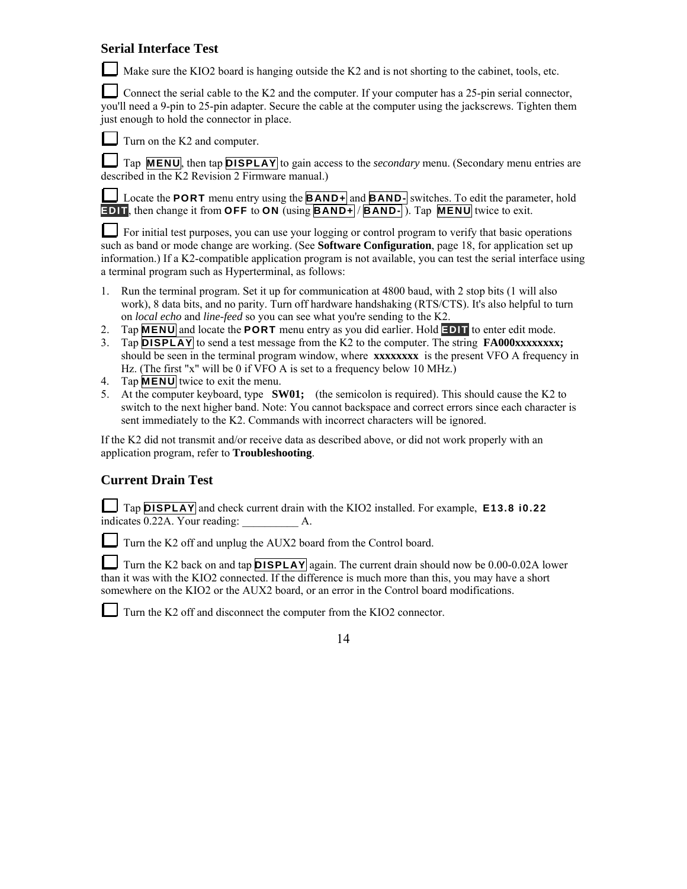## **Serial Interface Test**

Make sure the KIO2 board is hanging outside the K2 and is not shorting to the cabinet, tools, etc.

Connect the serial cable to the K2 and the computer. If your computer has a 25-pin serial connector, you'll need a 9-pin to 25-pin adapter. Secure the cable at the computer using the jackscrews. Tighten them just enough to hold the connector in place.

 $\Box$  Turn on the K2 and computer.

Tap **MENU**, then tap **DISPLAY** to gain access to the *secondary* menu. (Secondary menu entries are described in the K2 Revision 2 Firmware manual.)

Locate the **PORT** menu entry using the **BAND+** and **BAND-** switches. To edit the parameter, hold **EDIT**, then change it from **OFF** to **ON** (using **BAND+** / **BAND-** ). Tap **MENU** twice to exit.

For initial test purposes, you can use your logging or control program to verify that basic operations such as band or mode change are working. (See **Software Configuration**, page 18, for application set up information.) If a K2-compatible application program is not available, you can test the serial interface using a terminal program such as Hyperterminal, as follows:

- 1. Run the terminal program. Set it up for communication at 4800 baud, with 2 stop bits (1 will also work), 8 data bits, and no parity. Turn off hardware handshaking (RTS/CTS). It's also helpful to turn on *local echo* and *line-feed* so you can see what you're sending to the K2.
- 2. Tap **MENU** and locate the **PORT** menu entry as you did earlier. Hold **EDIT** to enter edit mode.
- 3. Tap **DISPLAY** to send a test message from the K2 to the computer. The string **FA000xxxxxxxx;** should be seen in the terminal program window, where **xxxxxxxx** is the present VFO A frequency in Hz. (The first "x" will be 0 if VFO A is set to a frequency below 10 MHz.)
- 4. Tap **MENU** twice to exit the menu.
- 5. At the computer keyboard, type **SW01;** (the semicolon is required). This should cause the K2 to switch to the next higher band. Note: You cannot backspace and correct errors since each character is sent immediately to the K2. Commands with incorrect characters will be ignored.

If the K2 did not transmit and/or receive data as described above, or did not work properly with an application program, refer to **Troubleshooting**.

## **Current Drain Test**

Tap **DISPLAY** and check current drain with the KIO2 installed. For example, **E13.8 i0.22** indicates  $\overline{0.22A}$ . Your reading:  $\overline{A}$ .

Turn the K2 off and unplug the AUX2 board from the Control board.

Turn the K2 back on and tap **DISPLAY** again. The current drain should now be 0.00-0.02A lower than it was with the KIO2 connected. If the difference is much more than this, you may have a short somewhere on the KIO2 or the AUX2 board, or an error in the Control board modifications.

Turn the K2 off and disconnect the computer from the KIO2 connector.

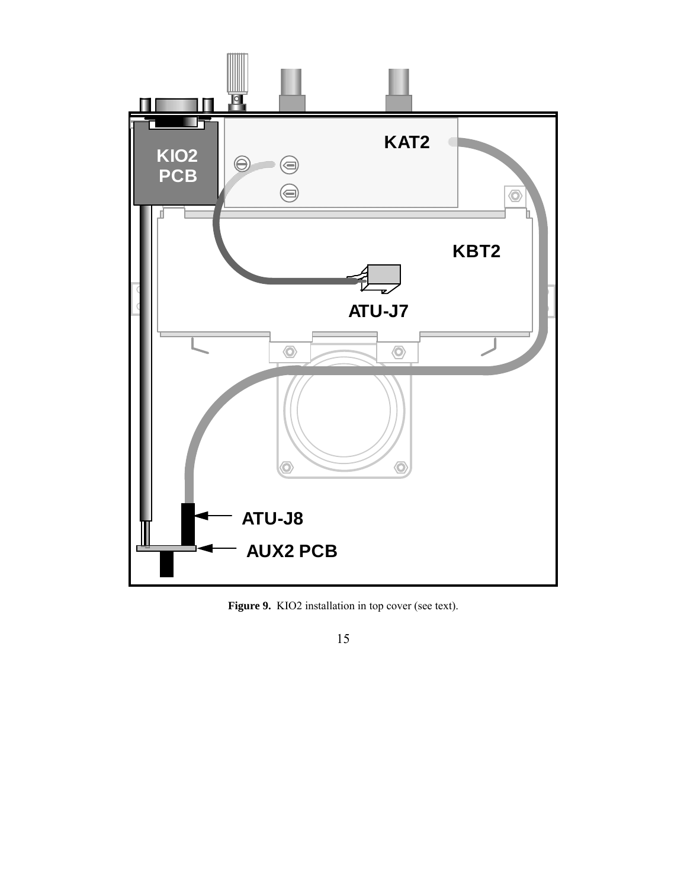

Figure 9. KIO2 installation in top cover (see text).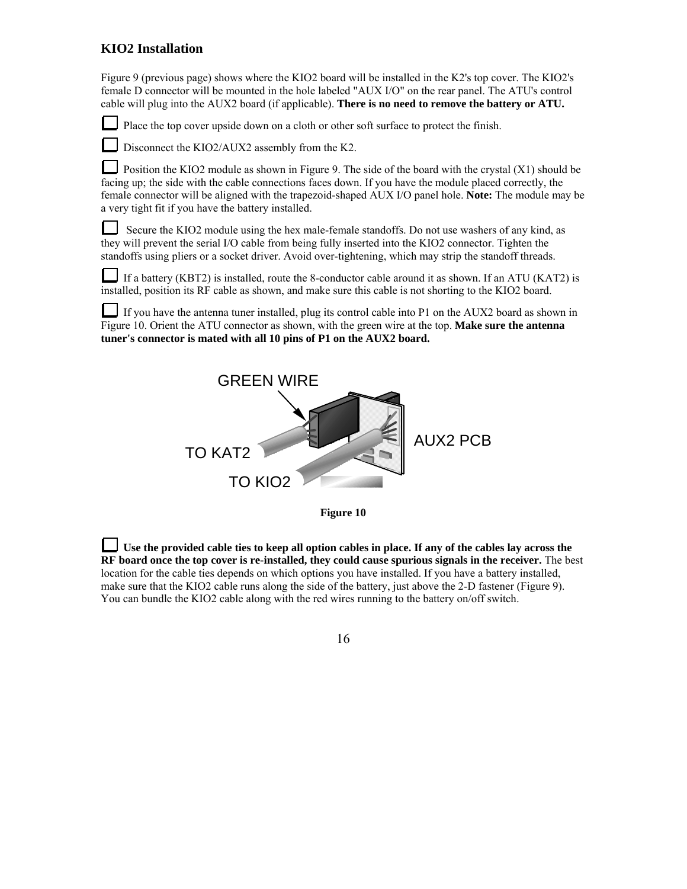## **KIO2 Installation**

Figure 9 (previous page) shows where the KIO2 board will be installed in the K2's top cover. The KIO2's female D connector will be mounted in the hole labeled "AUX I/O" on the rear panel. The ATU's control cable will plug into the AUX2 board (if applicable). **There is no need to remove the battery or ATU.** 

Place the top cover upside down on a cloth or other soft surface to protect the finish.

Disconnect the KIO2/AUX2 assembly from the K2.

Position the KIO2 module as shown in Figure 9. The side of the board with the crystal (X1) should be facing up; the side with the cable connections faces down. If you have the module placed correctly, the female connector will be aligned with the trapezoid-shaped AUX I/O panel hole. **Note:** The module may be a very tight fit if you have the battery installed.

 Secure the KIO2 module using the hex male-female standoffs. Do not use washers of any kind, as they will prevent the serial I/O cable from being fully inserted into the KIO2 connector. Tighten the standoffs using pliers or a socket driver. Avoid over-tightening, which may strip the standoff threads.

If a battery (KBT2) is installed, route the 8-conductor cable around it as shown. If an ATU (KAT2) is installed, position its RF cable as shown, and make sure this cable is not shorting to the KIO2 board.

If you have the antenna tuner installed, plug its control cable into P1 on the AUX2 board as shown in Figure 10. Orient the ATU connector as shown, with the green wire at the top. **Make sure the antenna tuner's connector is mated with all 10 pins of P1 on the AUX2 board.**





**Use the provided cable ties to keep all option cables in place. If any of the cables lay across the RF board once the top cover is re-installed, they could cause spurious signals in the receiver.** The best location for the cable ties depends on which options you have installed. If you have a battery installed, make sure that the KIO2 cable runs along the side of the battery, just above the 2-D fastener (Figure 9). You can bundle the KIO2 cable along with the red wires running to the battery on/off switch.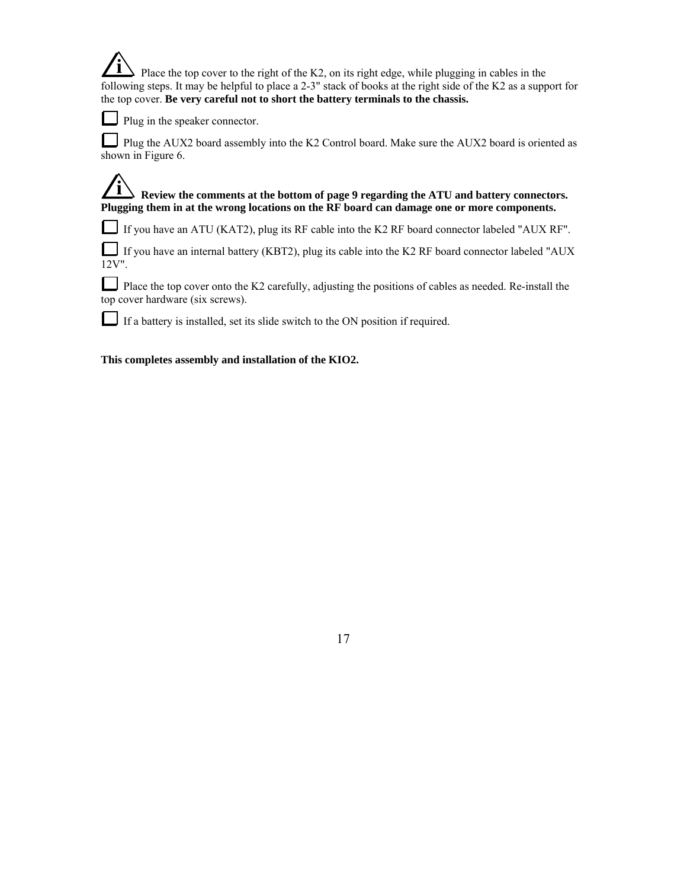$\blacktriangleright$  Place the top cover to the right of the K2, on its right edge, while plugging in cables in the following steps. It may be helpful to place a 2-3" stack of books at the right side of the K2 as a support for the top cover. **Be very careful not to short the battery terminals to the chassis.**

Plug in the speaker connector.

Plug the AUX2 board assembly into the K2 Control board. Make sure the AUX2 board is oriented as shown in Figure 6.

**i** Review the comments at the bottom of page 9 regarding the ATU and battery connectors. **Plugging them in at the wrong locations on the RF board can damage one or more components.** 

If you have an ATU (KAT2), plug its RF cable into the K2 RF board connector labeled "AUX RF".

If you have an internal battery (KBT2), plug its cable into the K2 RF board connector labeled "AUX 12V".

Place the top cover onto the K2 carefully, adjusting the positions of cables as needed. Re-install the top cover hardware (six screws).

If a battery is installed, set its slide switch to the ON position if required.

**This completes assembly and installation of the KIO2.**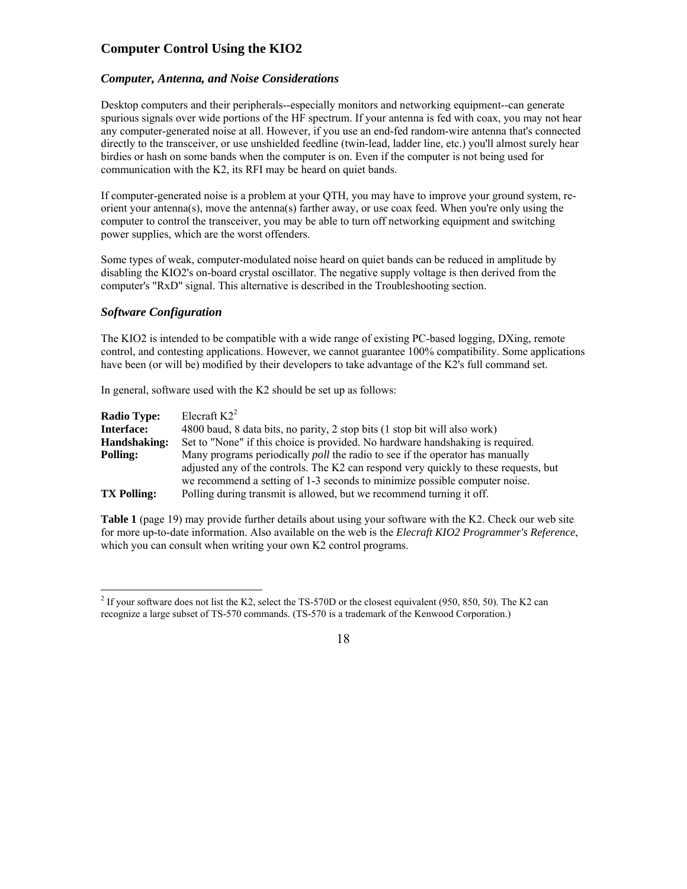## **Computer Control Using the KIO2**

#### *Computer, Antenna, and Noise Considerations*

Desktop computers and their peripherals--especially monitors and networking equipment--can generate spurious signals over wide portions of the HF spectrum. If your antenna is fed with coax, you may not hear any computer-generated noise at all. However, if you use an end-fed random-wire antenna that's connected directly to the transceiver, or use unshielded feedline (twin-lead, ladder line, etc.) you'll almost surely hear birdies or hash on some bands when the computer is on. Even if the computer is not being used for communication with the K2, its RFI may be heard on quiet bands.

If computer-generated noise is a problem at your QTH, you may have to improve your ground system, reorient your antenna(s), move the antenna(s) farther away, or use coax feed. When you're only using the computer to control the transceiver, you may be able to turn off networking equipment and switching power supplies, which are the worst offenders.

Some types of weak, computer-modulated noise heard on quiet bands can be reduced in amplitude by disabling the KIO2's on-board crystal oscillator. The negative supply voltage is then derived from the computer's "RxD" signal. This alternative is described in the Troubleshooting section.

#### *Software Configuration*

 $\overline{a}$ 

The KIO2 is intended to be compatible with a wide range of existing PC-based logging, DXing, remote control, and contesting applications. However, we cannot guarantee 100% compatibility. Some applications have been (or will be) modified by their developers to take advantage of the K2's full command set.

In general, software used with the K2 should be set up as follows:

| <b>Radio Type:</b> | Elecraft $K2^2$                                                                      |
|--------------------|--------------------------------------------------------------------------------------|
| <b>Interface:</b>  | 4800 baud, 8 data bits, no parity, 2 stop bits (1 stop bit will also work)           |
| Handshaking:       | Set to "None" if this choice is provided. No hardware handshaking is required.       |
| Polling:           | Many programs periodically <i>poll</i> the radio to see if the operator has manually |
|                    | adjusted any of the controls. The K2 can respond very quickly to these requests, but |
|                    | we recommend a setting of 1-3 seconds to minimize possible computer noise.           |
| <b>TX Polling:</b> | Polling during transmit is allowed, but we recommend turning it off.                 |

**Table 1** (page 19) may provide further details about using your software with the K2. Check our web site for more up-to-date information. Also available on the web is the *Elecraft KIO2 Programmer's Reference*, which you can consult when writing your own K2 control programs.

<sup>&</sup>lt;sup>2</sup> If your software does not list the K2, select the TS-570D or the closest equivalent (950, 850, 50). The K2 can recognize a large subset of TS-570 commands. (TS-570 is a trademark of the Kenwood Corporation.)

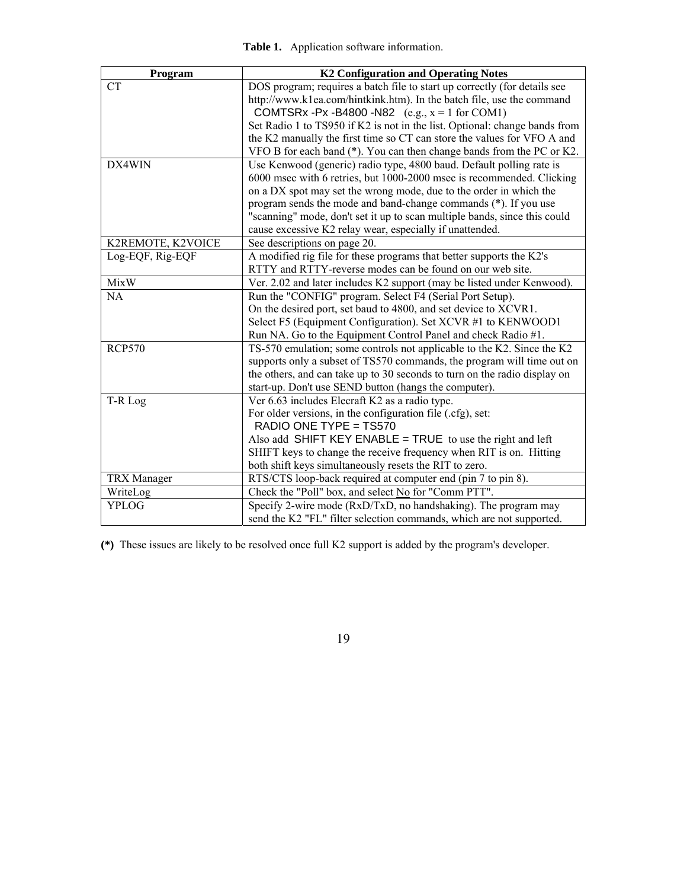| Program            | <b>K2 Configuration and Operating Notes</b>                                |
|--------------------|----------------------------------------------------------------------------|
| <b>CT</b>          | DOS program; requires a batch file to start up correctly (for details see  |
|                    | http://www.k1ea.com/hintkink.htm). In the batch file, use the command      |
|                    | COMTSRx -Px -B4800 -N82 $(e.g., x = 1 for COM1)$                           |
|                    | Set Radio 1 to TS950 if K2 is not in the list. Optional: change bands from |
|                    | the K2 manually the first time so CT can store the values for VFO A and    |
|                    | VFO B for each band (*). You can then change bands from the PC or K2.      |
| DX4WIN             | Use Kenwood (generic) radio type, 4800 baud. Default polling rate is       |
|                    | 6000 msec with 6 retries, but 1000-2000 msec is recommended. Clicking      |
|                    | on a DX spot may set the wrong mode, due to the order in which the         |
|                    | program sends the mode and band-change commands (*). If you use            |
|                    | "scanning" mode, don't set it up to scan multiple bands, since this could  |
|                    | cause excessive K2 relay wear, especially if unattended.                   |
| K2REMOTE, K2VOICE  | See descriptions on page 20.                                               |
| Log-EQF, Rig-EQF   | A modified rig file for these programs that better supports the K2's       |
|                    | RTTY and RTTY-reverse modes can be found on our web site.                  |
| <b>MixW</b>        | Ver. 2.02 and later includes K2 support (may be listed under Kenwood).     |
| NA                 | Run the "CONFIG" program. Select F4 (Serial Port Setup).                   |
|                    | On the desired port, set baud to 4800, and set device to XCVR1.            |
|                    | Select F5 (Equipment Configuration). Set XCVR #1 to KENWOOD1               |
|                    | Run NA. Go to the Equipment Control Panel and check Radio #1.              |
| <b>RCP570</b>      | TS-570 emulation; some controls not applicable to the K2. Since the K2     |
|                    | supports only a subset of TS570 commands, the program will time out on     |
|                    | the others, and can take up to 30 seconds to turn on the radio display on  |
|                    | start-up. Don't use SEND button (hangs the computer).                      |
| T-R Log            | Ver 6.63 includes Elecraft K2 as a radio type.                             |
|                    | For older versions, in the configuration file (.cfg), set:                 |
|                    | RADIO ONE TYPE = TS570                                                     |
|                    | Also add SHIFT KEY ENABLE = TRUE to use the right and left                 |
|                    | SHIFT keys to change the receive frequency when RIT is on. Hitting         |
|                    | both shift keys simultaneously resets the RIT to zero.                     |
| <b>TRX</b> Manager | RTS/CTS loop-back required at computer end (pin 7 to pin 8).               |
| WriteLog           | Check the "Poll" box, and select No for "Comm PTT".                        |
| <b>YPLOG</b>       | Specify 2-wire mode (RxD/TxD, no handshaking). The program may             |
|                    | send the K2 "FL" filter selection commands, which are not supported.       |

**(\*)** These issues are likely to be resolved once full K2 support is added by the program's developer.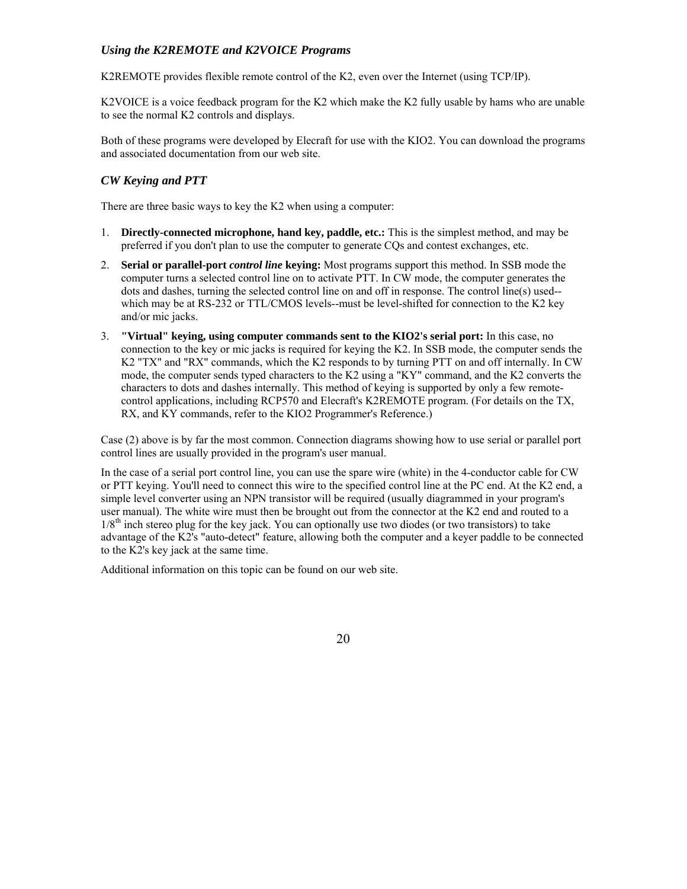#### *Using the K2REMOTE and K2VOICE Programs*

K2REMOTE provides flexible remote control of the K2, even over the Internet (using TCP/IP).

K2VOICE is a voice feedback program for the K2 which make the K2 fully usable by hams who are unable to see the normal K2 controls and displays.

Both of these programs were developed by Elecraft for use with the KIO2. You can download the programs and associated documentation from our web site.

#### *CW Keying and PTT*

There are three basic ways to key the K2 when using a computer:

- 1. **Directly-connected microphone, hand key, paddle, etc.:** This is the simplest method, and may be preferred if you don't plan to use the computer to generate CQs and contest exchanges, etc.
- 2. **Serial or parallel-port** *control line* **keying:** Most programs support this method. In SSB mode the computer turns a selected control line on to activate PTT. In CW mode, the computer generates the dots and dashes, turning the selected control line on and off in response. The control line(s) used- which may be at RS-232 or TTL/CMOS levels--must be level-shifted for connection to the K2 key and/or mic jacks.
- 3. **"Virtual" keying, using computer commands sent to the KIO2's serial port:** In this case, no connection to the key or mic jacks is required for keying the K2. In SSB mode, the computer sends the K2 "TX" and "RX" commands, which the K2 responds to by turning PTT on and off internally. In CW mode, the computer sends typed characters to the K2 using a "KY" command, and the K2 converts the characters to dots and dashes internally. This method of keying is supported by only a few remotecontrol applications, including RCP570 and Elecraft's K2REMOTE program. (For details on the TX, RX, and KY commands, refer to the KIO2 Programmer's Reference.)

Case (2) above is by far the most common. Connection diagrams showing how to use serial or parallel port control lines are usually provided in the program's user manual.

In the case of a serial port control line, you can use the spare wire (white) in the 4-conductor cable for CW or PTT keying. You'll need to connect this wire to the specified control line at the PC end. At the K2 end, a simple level converter using an NPN transistor will be required (usually diagrammed in your program's user manual). The white wire must then be brought out from the connector at the K2 end and routed to a  $1/8<sup>th</sup>$  inch stereo plug for the key jack. You can optionally use two diodes (or two transistors) to take advantage of the K2's "auto-detect" feature, allowing both the computer and a keyer paddle to be connected to the K2's key jack at the same time.

Additional information on this topic can be found on our web site.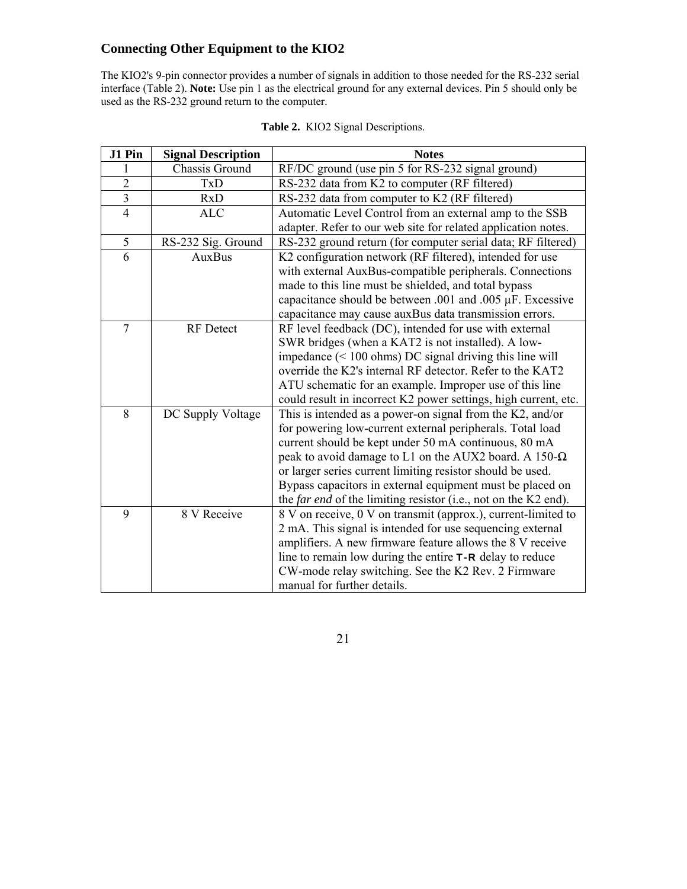# **Connecting Other Equipment to the KIO2**

The KIO2's 9-pin connector provides a number of signals in addition to those needed for the RS-232 serial interface (Table 2). **Note:** Use pin 1 as the electrical ground for any external devices. Pin 5 should only be used as the RS-232 ground return to the computer.

| J1 Pin                  | <b>Signal Description</b> | <b>Notes</b>                                                           |  |  |  |  |
|-------------------------|---------------------------|------------------------------------------------------------------------|--|--|--|--|
|                         | Chassis Ground            | RF/DC ground (use pin 5 for RS-232 signal ground)                      |  |  |  |  |
| $\overline{2}$          | TxD                       | RS-232 data from K2 to computer (RF filtered)                          |  |  |  |  |
| $\overline{\mathbf{3}}$ | RxD                       | RS-232 data from computer to K2 (RF filtered)                          |  |  |  |  |
| $\overline{4}$          | <b>ALC</b>                | Automatic Level Control from an external amp to the SSB                |  |  |  |  |
|                         |                           | adapter. Refer to our web site for related application notes.          |  |  |  |  |
| 5                       | RS-232 Sig. Ground        | RS-232 ground return (for computer serial data; RF filtered)           |  |  |  |  |
| 6                       | <b>AuxBus</b>             | K2 configuration network (RF filtered), intended for use               |  |  |  |  |
|                         |                           | with external AuxBus-compatible peripherals. Connections               |  |  |  |  |
|                         |                           | made to this line must be shielded, and total bypass                   |  |  |  |  |
|                         |                           | capacitance should be between .001 and .005 µF. Excessive              |  |  |  |  |
|                         |                           | capacitance may cause auxBus data transmission errors.                 |  |  |  |  |
| $\overline{7}$          | <b>RF</b> Detect          | RF level feedback (DC), intended for use with external                 |  |  |  |  |
|                         |                           | SWR bridges (when a KAT2 is not installed). A low-                     |  |  |  |  |
|                         |                           | impedance $(< 100 \text{ ohms})$ DC signal driving this line will      |  |  |  |  |
|                         |                           | override the K2's internal RF detector. Refer to the KAT2              |  |  |  |  |
|                         |                           | ATU schematic for an example. Improper use of this line                |  |  |  |  |
|                         |                           | could result in incorrect K2 power settings, high current, etc.        |  |  |  |  |
| 8                       | DC Supply Voltage         | This is intended as a power-on signal from the $K2$ , and/or           |  |  |  |  |
|                         |                           | for powering low-current external peripherals. Total load              |  |  |  |  |
|                         |                           | current should be kept under 50 mA continuous, 80 mA                   |  |  |  |  |
|                         |                           | peak to avoid damage to L1 on the AUX2 board. A 150- $\Omega$          |  |  |  |  |
|                         |                           | or larger series current limiting resistor should be used.             |  |  |  |  |
|                         |                           | Bypass capacitors in external equipment must be placed on              |  |  |  |  |
|                         |                           | the <i>far end</i> of the limiting resistor (i.e., not on the K2 end). |  |  |  |  |
| 9                       | 8 V Receive               | 8 V on receive, 0 V on transmit (approx.), current-limited to          |  |  |  |  |
|                         |                           | 2 mA. This signal is intended for use sequencing external              |  |  |  |  |
|                         |                           | amplifiers. A new firmware feature allows the 8 V receive              |  |  |  |  |
|                         |                           | line to remain low during the entire $T - R$ delay to reduce           |  |  |  |  |
|                         |                           | CW-mode relay switching. See the K2 Rev. 2 Firmware                    |  |  |  |  |
|                         |                           | manual for further details.                                            |  |  |  |  |

|  | Table 2. KIO2 Signal Descriptions. |  |
|--|------------------------------------|--|
|  |                                    |  |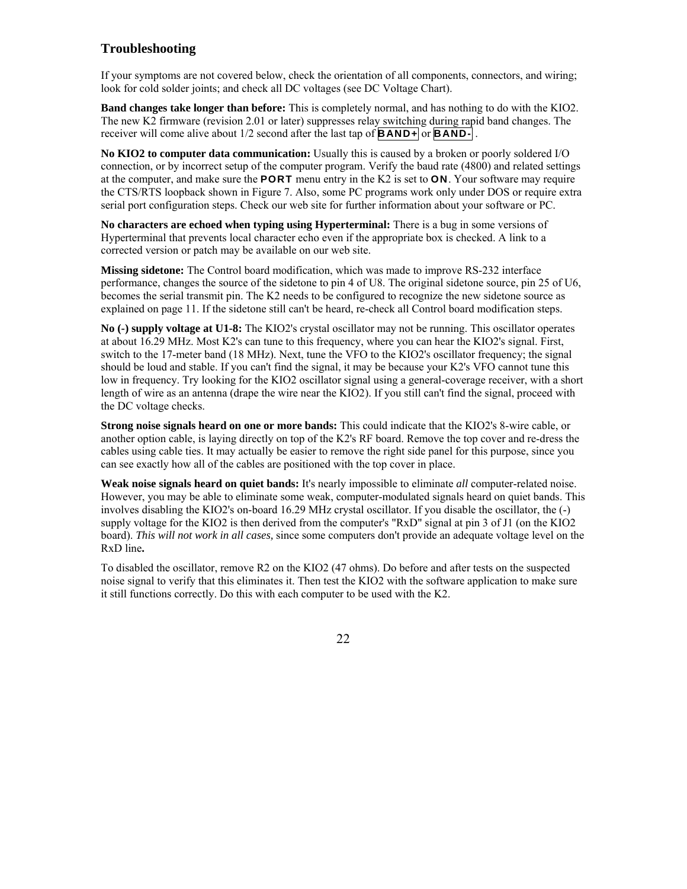#### **Troubleshooting**

If your symptoms are not covered below, check the orientation of all components, connectors, and wiring; look for cold solder joints; and check all DC voltages (see DC Voltage Chart).

**Band changes take longer than before:** This is completely normal, and has nothing to do with the KIO2. The new K2 firmware (revision 2.01 or later) suppresses relay switching during rapid band changes. The receiver will come alive about 1/2 second after the last tap of **BAND+** or **BAND-** .

**No KIO2 to computer data communication:** Usually this is caused by a broken or poorly soldered I/O connection, or by incorrect setup of the computer program. Verify the baud rate (4800) and related settings at the computer, and make sure the **PORT** menu entry in the K2 is set to **ON**. Your software may require the CTS/RTS loopback shown in Figure 7. Also, some PC programs work only under DOS or require extra serial port configuration steps. Check our web site for further information about your software or PC.

**No characters are echoed when typing using Hyperterminal:** There is a bug in some versions of Hyperterminal that prevents local character echo even if the appropriate box is checked. A link to a corrected version or patch may be available on our web site.

**Missing sidetone:** The Control board modification, which was made to improve RS-232 interface performance, changes the source of the sidetone to pin 4 of U8. The original sidetone source, pin 25 of U6, becomes the serial transmit pin. The K2 needs to be configured to recognize the new sidetone source as explained on page 11. If the sidetone still can't be heard, re-check all Control board modification steps.

**No (-) supply voltage at U1-8:** The KIO2's crystal oscillator may not be running. This oscillator operates at about 16.29 MHz. Most K2's can tune to this frequency, where you can hear the KIO2's signal. First, switch to the 17-meter band (18 MHz). Next, tune the VFO to the KIO2's oscillator frequency; the signal should be loud and stable. If you can't find the signal, it may be because your K2's VFO cannot tune this low in frequency. Try looking for the KIO2 oscillator signal using a general-coverage receiver, with a short length of wire as an antenna (drape the wire near the KIO2). If you still can't find the signal, proceed with the DC voltage checks.

**Strong noise signals heard on one or more bands:** This could indicate that the KIO2's 8-wire cable, or another option cable, is laying directly on top of the K2's RF board. Remove the top cover and re-dress the cables using cable ties. It may actually be easier to remove the right side panel for this purpose, since you can see exactly how all of the cables are positioned with the top cover in place.

**Weak noise signals heard on quiet bands:** It's nearly impossible to eliminate *all* computer-related noise. However, you may be able to eliminate some weak, computer-modulated signals heard on quiet bands. This involves disabling the KIO2's on-board 16.29 MHz crystal oscillator. If you disable the oscillator, the (-) supply voltage for the KIO2 is then derived from the computer's "RxD" signal at pin 3 of J1 (on the KIO2 board). *This will not work in all cases,* since some computers don't provide an adequate voltage level on the RxD line**.** 

To disabled the oscillator, remove R2 on the KIO2 (47 ohms). Do before and after tests on the suspected noise signal to verify that this eliminates it. Then test the KIO2 with the software application to make sure it still functions correctly. Do this with each computer to be used with the K2.

<u>22</u>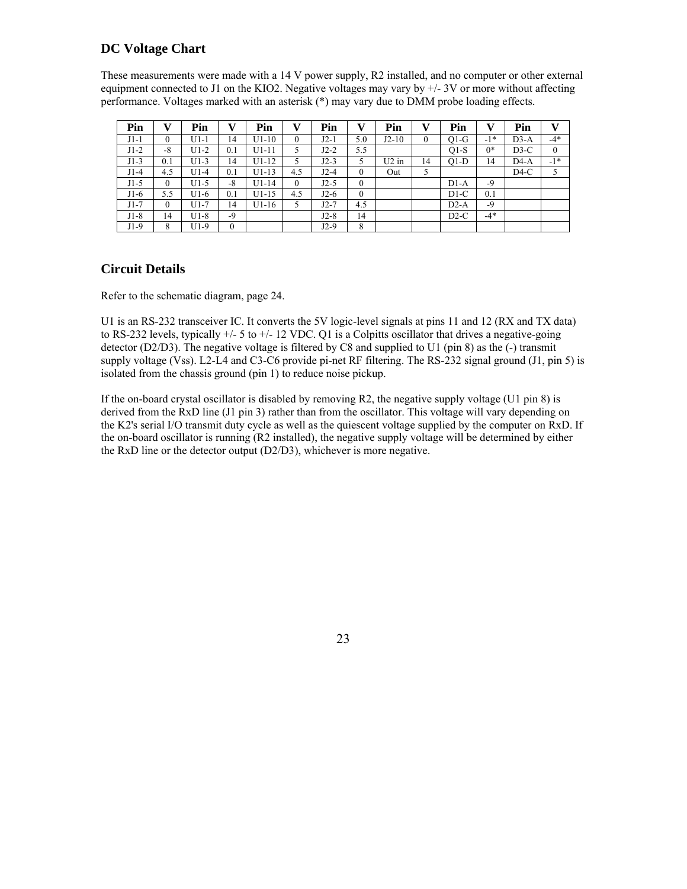#### **DC Voltage Chart**

These measurements were made with a 14 V power supply, R2 installed, and no computer or other external equipment connected to J1 on the KIO2. Negative voltages may vary by  $+/- 3V$  or more without affecting performance. Voltages marked with an asterisk (\*) may vary due to DMM probe loading effects.

| Pin    | v        | Pin    | v    | Pin     | v        | Pin    | v            | Pin     | v  | Pin    | v     | Pin    | v            |
|--------|----------|--------|------|---------|----------|--------|--------------|---------|----|--------|-------|--------|--------------|
| $J1-1$ | $\theta$ | $U1-1$ | 14   | $U1-10$ | $\theta$ | $J2-1$ | 5.0          | $J2-10$ | 0  | $Q1-G$ | $-1*$ | $D3-A$ | $-4*$        |
| $J1-2$ | $-8$     | $U1-2$ | 0.1  | $U1-11$ |          | $J2-2$ | 5.5          |         |    | $Q1-S$ | $0*$  | $D3-C$ | $\mathbf{0}$ |
| $J1-3$ | 0.1      | $U1-3$ | 14   | $U1-12$ | 5        | $J2-3$ | 5            | $U2$ in | 14 | $O1-D$ | 14    | $D4-A$ | $-1*$        |
| $J1-4$ | 4.5      | $U1-4$ | 0.1  | $U1-13$ | 4.5      | $J2-4$ | $\theta$     | Out     | 5  |        |       | $D4-C$ | 5            |
| $J1-5$ | $\theta$ | $U1-5$ | -8   | $U1-14$ | $\theta$ | $J2-5$ | $\mathbf{0}$ |         |    | $D1-A$ | $-9$  |        |              |
| $J1-6$ | 5.5      | $U1-6$ | 0.1  | $U1-15$ | 4.5      | $J2-6$ | $\theta$     |         |    | $D1-C$ | 0.1   |        |              |
| $J1-7$ | 0        | $U1-7$ | 14   | $U1-16$ | 5        | $J2-7$ | 4.5          |         |    | $D2-A$ | $-9$  |        |              |
| $J1-8$ | 14       | U1-8   | $-9$ |         |          | $J2-8$ | 14           |         |    | $D2-C$ | $-4*$ |        |              |
| $J1-9$ | 8        | $U1-9$ | 0    |         |          | $J2-9$ | 8            |         |    |        |       |        |              |

#### **Circuit Details**

Refer to the schematic diagram, page 24.

U1 is an RS-232 transceiver IC. It converts the 5V logic-level signals at pins 11 and 12 (RX and TX data) to RS-232 levels, typically +/- 5 to +/- 12 VDC. Q1 is a Colpitts oscillator that drives a negative-going detector ( $D2/D3$ ). The negative voltage is filtered by C8 and supplied to U1 (pin 8) as the (-) transmit supply voltage (Vss). L2-L4 and C3-C6 provide pi-net RF filtering. The RS-232 signal ground (J1, pin 5) is isolated from the chassis ground (pin 1) to reduce noise pickup.

If the on-board crystal oscillator is disabled by removing R2, the negative supply voltage (U1 pin 8) is derived from the RxD line (J1 pin 3) rather than from the oscillator. This voltage will vary depending on the K2's serial I/O transmit duty cycle as well as the quiescent voltage supplied by the computer on RxD. If the on-board oscillator is running (R2 installed), the negative supply voltage will be determined by either the RxD line or the detector output (D2/D3), whichever is more negative.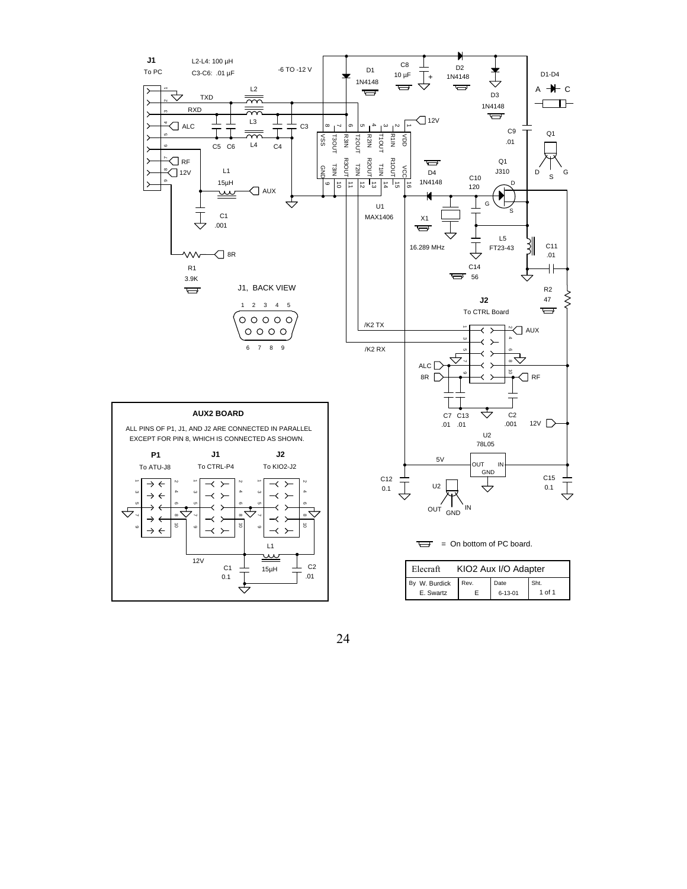

 $\overline{C}$  = On bottom of PC board.

| KIO2 Aux I/O Adapter<br>Elecraft |      |               |        |  |  |  |  |
|----------------------------------|------|---------------|--------|--|--|--|--|
| By W. Burdick                    | Rev. | Date          | Sht.   |  |  |  |  |
| E. Swartz                        |      | $6 - 13 - 01$ | 1 of 1 |  |  |  |  |

<u>24</u>

L1

 $C_1 \perp 15\mu$ H  $\perp 15\mu$  C2

 $\hat{\mathcal{P}}$ 

 $\overset{\smile}{=}$ 

12V

 $\top$  .01